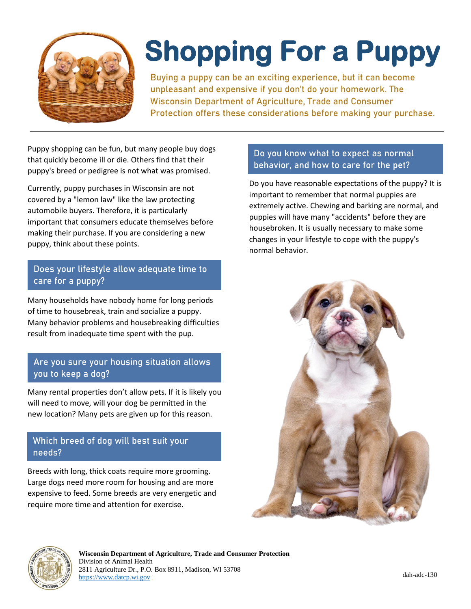

# **Shopping For a Puppy**

**Buying a puppy can be an exciting experience, but it can become unpleasant and expensive if you don't do your homework. The Wisconsin Department of Agriculture, Trade and Consumer Protection offers these considerations before making your purchase.**

Puppy shopping can be fun, but many people buy dogs that quickly become ill or die. Others find that their puppy's breed or pedigree is not what was promised.

Currently, puppy purchases in Wisconsin are not covered by a "lemon law" like the law protecting automobile buyers. Therefore, it is particularly important that consumers educate themselves before making their purchase. If you are considering a new puppy, think about these points.

## **Does your lifestyle allow adequate time to care for a puppy?**

Many households have nobody home for long periods of time to housebreak, train and socialize a puppy. Many behavior problems and housebreaking difficulties result from inadequate time spent with the pup.

## **Are you sure your housing situation allows you to keep a dog?**

Many rental properties don't allow pets. If it is likely you will need to move, will your dog be permitted in the new location? Many pets are given up for this reason.

## **Which breed of dog will best suit your needs?**

Breeds with long, thick coats require more grooming. Large dogs need more room for housing and are more expensive to feed. Some breeds are very energetic and require more time and attention for exercise.

## **Do you know what to expect as normal behavior, and how to care for the pet?**

Do you have reasonable expectations of the puppy? It is important to remember that normal puppies are extremely active. Chewing and barking are normal, and puppies will have many "accidents" before they are housebroken. It is usually necessary to make some changes in your lifestyle to cope with the puppy's normal behavior.